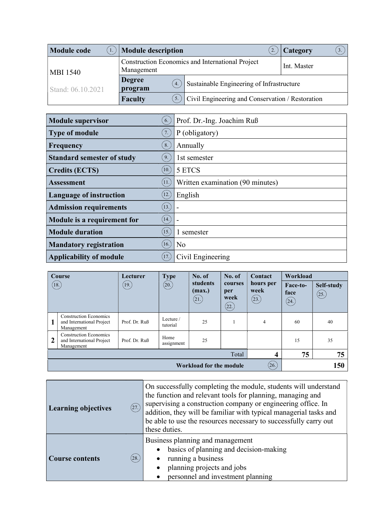| <b>Module code</b> | Module description                                             |                                                  | Category<br>3. |  |
|--------------------|----------------------------------------------------------------|--------------------------------------------------|----------------|--|
| <b>MBI 1540</b>    | Construction Economics and International Project<br>Management | Int. Master                                      |                |  |
| Stand: 06.10.2021  | <b>Degree</b><br>4.<br>program                                 | Sustainable Engineering of Infrastructure        |                |  |
|                    | <b>Faculty</b><br>5.                                           | Civil Engineering and Conservation / Restoration |                |  |

| <b>Module supervisor</b>          | 6.                 | Prof. Dr.-Ing. Joachim Ruß       |
|-----------------------------------|--------------------|----------------------------------|
| <b>Type of module</b>             | 7.                 | P (obligatory)                   |
| Frequency                         | 8.                 | Annually                         |
| <b>Standard semester of study</b> | 9.                 | 1st semester                     |
| <b>Credits (ECTS)</b>             | $\left[10.\right)$ | 5 ETCS                           |
| <b>Assessment</b>                 | 11.                | Written examination (90 minutes) |
| <b>Language of instruction</b>    | $\left(12.\right)$ | English                          |
| <b>Admission requirements</b>     | (13.)              |                                  |
| Module is a requirement for       | (14.)              |                                  |
| <b>Module duration</b>            | (15.)              | 1 semester                       |
| <b>Mandatory registration</b>     | 16.                | N <sub>o</sub>                   |
| <b>Applicability of module</b>    | 17.                | Civil Engineering                |

|                                  | Course                                                                   | Lecturer      | <b>Type</b>           | No. of                     | No. of                         | <b>Contact</b>             | Workload                 |                    |
|----------------------------------|--------------------------------------------------------------------------|---------------|-----------------------|----------------------------|--------------------------------|----------------------------|--------------------------|--------------------|
|                                  | (18.)                                                                    | (19)          | (20.)                 | students<br>(max.)<br>(21) | courses<br>per<br>week<br>(22. | hours per<br>week<br>(23.) | Face-to-<br>face<br>(24) | Self-study<br>(25) |
| 1                                | <b>Construction Economics</b><br>and International Project<br>Management | Prof. Dr. Ruß | Lecture /<br>tutorial | 25                         |                                | 4                          | 60                       | 40                 |
| $\overline{2}$                   | <b>Construction Economics</b><br>and International Project<br>Management | Prof. Dr. Ruß | Home<br>assignment    | 25                         |                                |                            | 15                       | 35                 |
| $\overline{\mathbf{4}}$<br>Total |                                                                          |               |                       |                            | 75                             | 75                         |                          |                    |
|                                  | (26.)<br><b>Workload for the module</b>                                  |               |                       |                            |                                | 150                        |                          |                    |

| (27.)<br><b>Learning objectives</b> | On successfully completing the module, students will understand<br>the function and relevant tools for planning, managing and<br>supervising a construction company or engineering office. In<br>addition, they will be familiar with typical managerial tasks and<br>be able to use the resources necessary to successfully carry out<br>these duties. |  |
|-------------------------------------|---------------------------------------------------------------------------------------------------------------------------------------------------------------------------------------------------------------------------------------------------------------------------------------------------------------------------------------------------------|--|
| (28.)<br><b>Course contents</b>     | Business planning and management<br>basics of planning and decision-making<br>$\bullet$<br>running a business<br>$\bullet$<br>planning projects and jobs<br>personnel and investment planning                                                                                                                                                           |  |